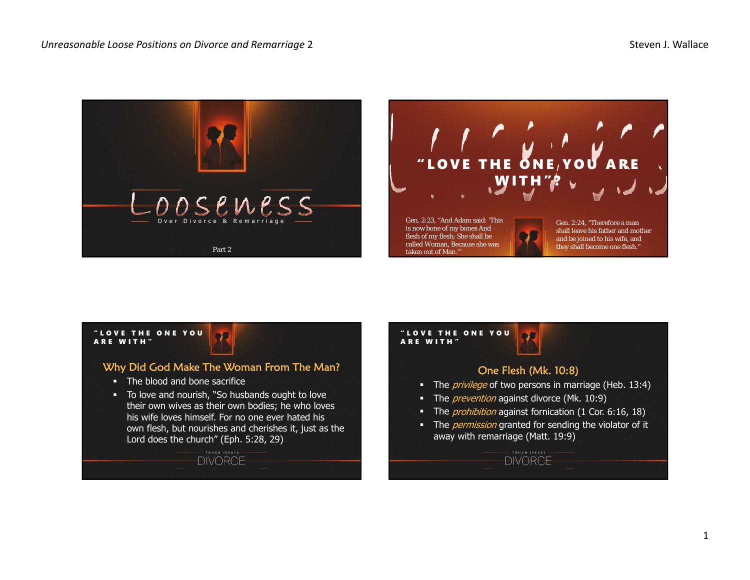



## "LOVE THE ONE YOU ARE WITH"ARE WITH"Why Did God Make The Woman From The Man? **The blood and bone sacrifice**  To love and nourish, "So husbands ought to love their own wives as their own bodies; he who loves his wife loves himself. For no one ever hated his own flesh, but nourishes and cherishes it, just as the Lord does the church" (Eph. 5:28, 29) **DIVORCE**

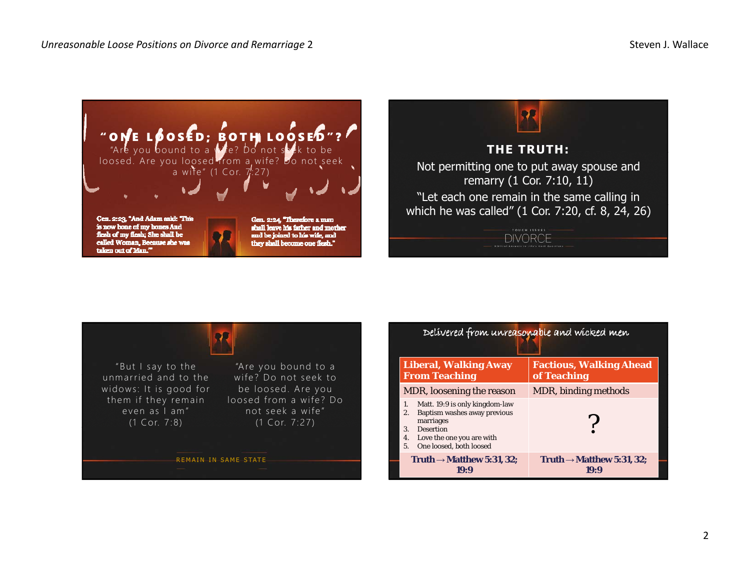





| Delivered from unreasonable and wicked men                                                                                                                                                        |                                               |
|---------------------------------------------------------------------------------------------------------------------------------------------------------------------------------------------------|-----------------------------------------------|
| <b>Liberal, Walking Away</b><br><b>From Teaching</b>                                                                                                                                              | <b>Factious, Walking Ahead</b><br>of Teaching |
| MDR, loosening the reason                                                                                                                                                                         | MDR, binding <i>methods</i>                   |
| Matt. 19:9 is only kingdom-law<br>1.<br>Baptism washes away previous<br>2.<br>marriages<br><b>Desertion</b><br>$\mathbf{3}$ .<br>Love the one you are with<br>4.<br>One loosed, both loosed<br>5. |                                               |
| Truth $\rightarrow$ Matthew 5:31, 32;<br>19:9                                                                                                                                                     | Truth $\rightarrow$ Matthew 5:31, 32;<br>19:9 |